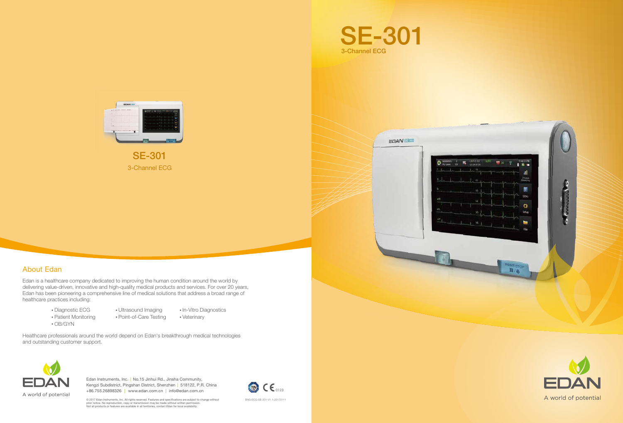Edan is a healthcare company dedicated to improving the human condition around the world by delivering value-driven, innovative and high-quality medical products and services. For over 20 years, Edan has been pioneering a comprehensive line of medical solutions that address a broad range of healthcare practices including:

## About Edan

Healthcare professionals around the world depend on Edan's breakthrough medical technologies and outstanding customer support.



Edan Instruments, Inc. | No.15 Jinhui Rd., Jinsha Community, Kengzi Subdistrict, Pingshan District, Shenzhen | 518122, P.R. China +86.755.26898326 | www.edan.com.cn | info@edan.com.cn

© 2017 Edan Instruments, Inc. All rights reserved. Features and specifications are subject to change without<br>prior notice. No reproduction, copy or transmission may be made without written permission.<br>Not all products or f



- Diagnostic ECG
- Ultrasound Imaging
	- Point-of-Care Testing
- OB/GYN
- 
- 
- In-Vitro Diagnostics

• Patient Monitoring

Veterinary



**EDAN** 



3-Channel ECG SE-301

ENG-ECG-SE-301-V1.1-20170111